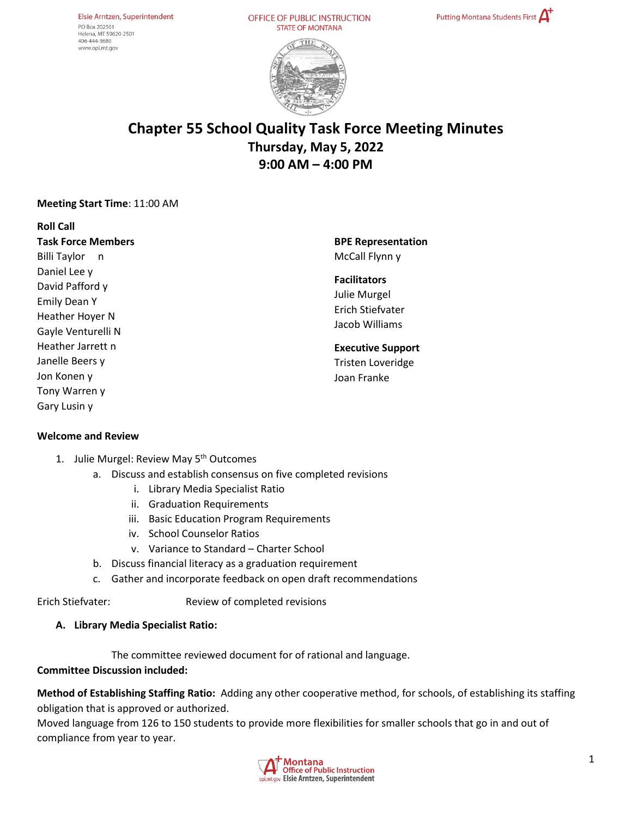Elsie Arntzen, Superintendent PO Box 202501 Helena. MT 59620-2501 406-444-3680 www.opi.mt.gov

OFFICE OF PUBLIC INSTRUCTION **STATE OF MONTANA** 





# **Chapter 55 School Quality Task Force Meeting Minutes Thursday, May 5, 2022 9:00 AM – 4:00 PM**

#### **Meeting Start Time**: 11:00 AM

**Roll Call Task Force Members** Billi Taylor n Daniel Lee y David Pafford y Emily Dean Y Heather Hoyer N Gayle Venturelli N Heather Jarrett n Janelle Beers y Jon Konen y Tony Warren y Gary Lusin y

**BPE Representation**  McCall Flynn y

#### **Facilitators**

Julie Murgel Erich Stiefvater Jacob Williams

#### **Executive Support**

Tristen Loveridge Joan Franke

#### **Welcome and Review**

- 1. Julie Murgel: Review May 5<sup>th</sup> Outcomes
	- a. Discuss and establish consensus on five completed revisions
		- i. Library Media Specialist Ratio
		- ii. Graduation Requirements
		- iii. Basic Education Program Requirements
		- iv. School Counselor Ratios
		- v. Variance to Standard Charter School
	- b. Discuss financial literacy as a graduation requirement
	- c. Gather and incorporate feedback on open draft recommendations

Erich Stiefvater: Review of completed revisions

#### **A. Library Media Specialist Ratio:**

The committee reviewed document for of rational and language.

#### **Committee Discussion included:**

**Method of Establishing Staffing Ratio:** Adding any other cooperative method, for schools, of establishing its staffing obligation that is approved or authorized.

Moved language from 126 to 150 students to provide more flexibilities for smaller schools that go in and out of compliance from year to year.

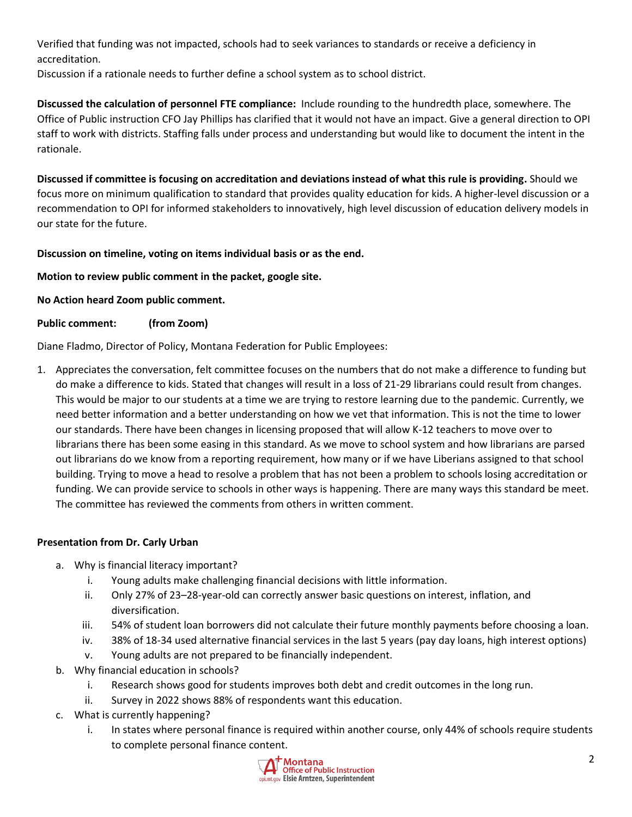Verified that funding was not impacted, schools had to seek variances to standards or receive a deficiency in accreditation.

Discussion if a rationale needs to further define a school system as to school district.

**Discussed the calculation of personnel FTE compliance:** Include rounding to the hundredth place, somewhere. The Office of Public instruction CFO Jay Phillips has clarified that it would not have an impact. Give a general direction to OPI staff to work with districts. Staffing falls under process and understanding but would like to document the intent in the rationale.

**Discussed if committee is focusing on accreditation and deviations instead of what this rule is providing.** Should we focus more on minimum qualification to standard that provides quality education for kids. A higher-level discussion or a recommendation to OPI for informed stakeholders to innovatively, high level discussion of education delivery models in our state for the future.

# **Discussion on timeline, voting on items individual basis or as the end.**

**Motion to review public comment in the packet, google site.**

**No Action heard Zoom public comment.** 

**Public comment: (from Zoom)** 

Diane Fladmo, Director of Policy, Montana Federation for Public Employees:

1. Appreciates the conversation, felt committee focuses on the numbers that do not make a difference to funding but do make a difference to kids. Stated that changes will result in a loss of 21-29 librarians could result from changes. This would be major to our students at a time we are trying to restore learning due to the pandemic. Currently, we need better information and a better understanding on how we vet that information. This is not the time to lower our standards. There have been changes in licensing proposed that will allow K-12 teachers to move over to librarians there has been some easing in this standard. As we move to school system and how librarians are parsed out librarians do we know from a reporting requirement, how many or if we have Liberians assigned to that school building. Trying to move a head to resolve a problem that has not been a problem to schools losing accreditation or funding. We can provide service to schools in other ways is happening. There are many ways this standard be meet. The committee has reviewed the comments from others in written comment.

## **Presentation from Dr. Carly Urban**

- a. Why is financial literacy important?
	- i. Young adults make challenging financial decisions with little information.
	- ii. Only 27% of 23–28-year-old can correctly answer basic questions on interest, inflation, and diversification.
	- iii. 54% of student loan borrowers did not calculate their future monthly payments before choosing a loan.
	- iv. 38% of 18-34 used alternative financial services in the last 5 years (pay day loans, high interest options)
	- v. Young adults are not prepared to be financially independent.
- b. Why financial education in schools?
	- i. Research shows good for students improves both debt and credit outcomes in the long run.
	- ii. Survey in 2022 shows 88% of respondents want this education.
- c. What is currently happening?
	- i. In states where personal finance is required within another course, only 44% of schools require students to complete personal finance content.

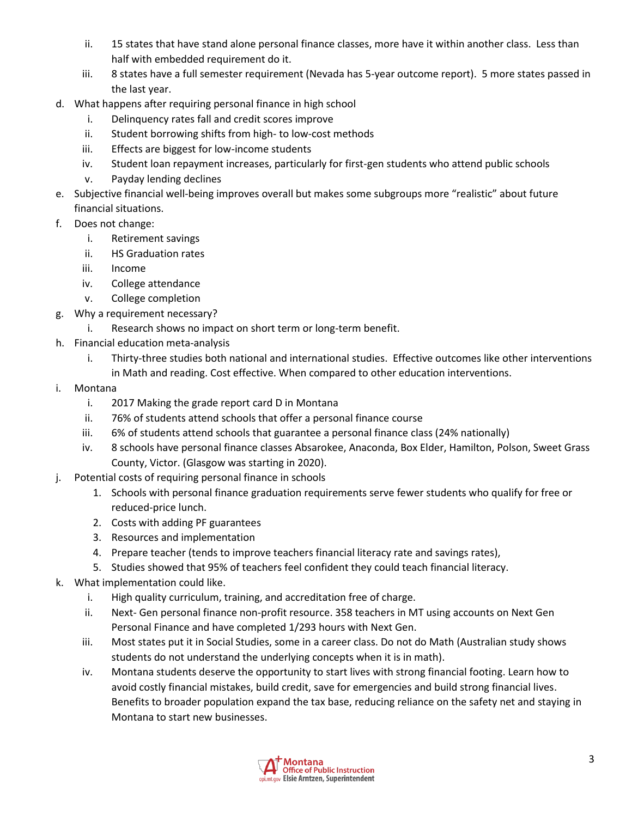- ii. 15 states that have stand alone personal finance classes, more have it within another class. Less than half with embedded requirement do it.
- iii. 8 states have a full semester requirement (Nevada has 5-year outcome report). 5 more states passed in the last year.
- d. What happens after requiring personal finance in high school
	- i. Delinquency rates fall and credit scores improve
	- ii. Student borrowing shifts from high- to low-cost methods
	- iii. Effects are biggest for low-income students
	- iv. Student loan repayment increases, particularly for first-gen students who attend public schools
	- v. Payday lending declines
- e. Subjective financial well-being improves overall but makes some subgroups more "realistic" about future financial situations.
- f. Does not change:
	- i. Retirement savings
	- ii. HS Graduation rates
	- iii. Income
	- iv. College attendance
	- v. College completion
- g. Why a requirement necessary?
	- i. Research shows no impact on short term or long-term benefit.
- h. Financial education meta-analysis
	- i. Thirty-three studies both national and international studies. Effective outcomes like other interventions in Math and reading. Cost effective. When compared to other education interventions.
- i. Montana
	- i. 2017 Making the grade report card D in Montana
	- ii. 76% of students attend schools that offer a personal finance course
	- iii. 6% of students attend schools that guarantee a personal finance class (24% nationally)
	- iv. 8 schools have personal finance classes Absarokee, Anaconda, Box Elder, Hamilton, Polson, Sweet Grass County, Victor. (Glasgow was starting in 2020).
- j. Potential costs of requiring personal finance in schools
	- 1. Schools with personal finance graduation requirements serve fewer students who qualify for free or reduced-price lunch.
	- 2. Costs with adding PF guarantees
	- 3. Resources and implementation
	- 4. Prepare teacher (tends to improve teachers financial literacy rate and savings rates),
	- 5. Studies showed that 95% of teachers feel confident they could teach financial literacy.
- k. What implementation could like.
	- i. High quality curriculum, training, and accreditation free of charge.
	- ii. Next- Gen personal finance non-profit resource. 358 teachers in MT using accounts on Next Gen Personal Finance and have completed 1/293 hours with Next Gen.
	- iii. Most states put it in Social Studies, some in a career class. Do not do Math (Australian study shows students do not understand the underlying concepts when it is in math).
	- iv. Montana students deserve the opportunity to start lives with strong financial footing. Learn how to avoid costly financial mistakes, build credit, save for emergencies and build strong financial lives. Benefits to broader population expand the tax base, reducing reliance on the safety net and staying in Montana to start new businesses.

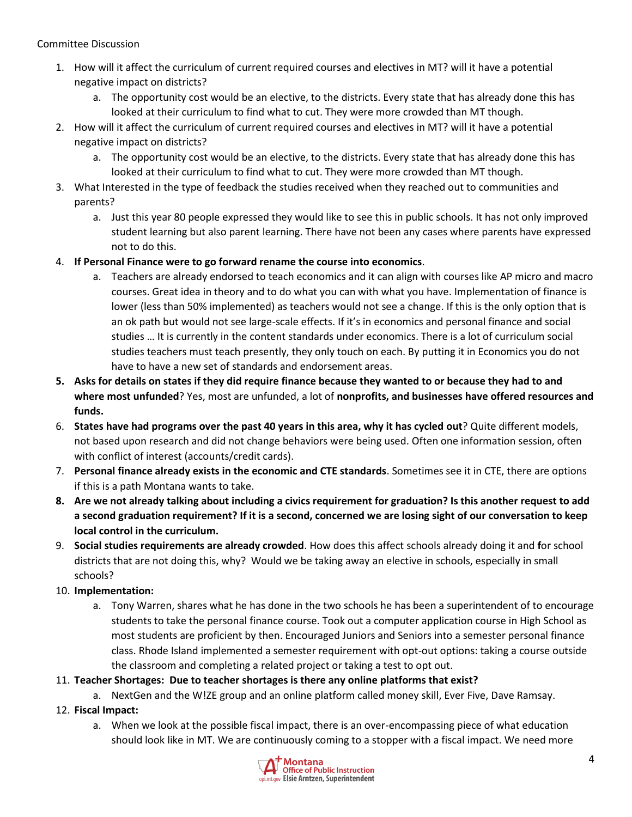## Committee Discussion

- 1. How will it affect the curriculum of current required courses and electives in MT? will it have a potential negative impact on districts?
	- a. The opportunity cost would be an elective, to the districts. Every state that has already done this has looked at their curriculum to find what to cut. They were more crowded than MT though.
- 2. How will it affect the curriculum of current required courses and electives in MT? will it have a potential negative impact on districts?
	- a. The opportunity cost would be an elective, to the districts. Every state that has already done this has looked at their curriculum to find what to cut. They were more crowded than MT though.
- 3. What Interested in the type of feedback the studies received when they reached out to communities and parents?
	- a. Just this year 80 people expressed they would like to see this in public schools. It has not only improved student learning but also parent learning. There have not been any cases where parents have expressed not to do this.
- 4. **If Personal Finance were to go forward rename the course into economics**.
	- a. Teachers are already endorsed to teach economics and it can align with courses like AP micro and macro courses. Great idea in theory and to do what you can with what you have. Implementation of finance is lower (less than 50% implemented) as teachers would not see a change. If this is the only option that is an ok path but would not see large-scale effects. If it's in economics and personal finance and social studies … It is currently in the content standards under economics. There is a lot of curriculum social studies teachers must teach presently, they only touch on each. By putting it in Economics you do not have to have a new set of standards and endorsement areas.
- **5. Asks for details on states if they did require finance because they wanted to or because they had to and where most unfunded**? Yes, most are unfunded, a lot of **nonprofits, and businesses have offered resources and funds.**
- 6. **States have had programs over the past 40 years in this area, why it has cycled out**? Quite different models, not based upon research and did not change behaviors were being used. Often one information session, often with conflict of interest (accounts/credit cards).
- 7. **Personal finance already exists in the economic and CTE standards**. Sometimes see it in CTE, there are options if this is a path Montana wants to take.
- **8. Are we not already talking about including a civics requirement for graduation? Is this another request to add a second graduation requirement? If it is a second, concerned we are losing sight of our conversation to keep local control in the curriculum.**
- 9. **Social studies requirements are already crowded**. How does this affect schools already doing it and **f**or school districts that are not doing this, why? Would we be taking away an elective in schools, especially in small schools?
- 10. **Implementation:**
	- a. Tony Warren, shares what he has done in the two schools he has been a superintendent of to encourage students to take the personal finance course. Took out a computer application course in High School as most students are proficient by then. Encouraged Juniors and Seniors into a semester personal finance class. Rhode Island implemented a semester requirement with opt-out options: taking a course outside the classroom and completing a related project or taking a test to opt out.
- 11. **Teacher Shortages: Due to teacher shortages is there any online platforms that exist?**
- a. NextGen and the W!ZE group and an online platform called money skill, Ever Five, Dave Ramsay.
- 12. **Fiscal Impact:**
	- a. When we look at the possible fiscal impact, there is an over-encompassing piece of what education should look like in MT. We are continuously coming to a stopper with a fiscal impact. We need more

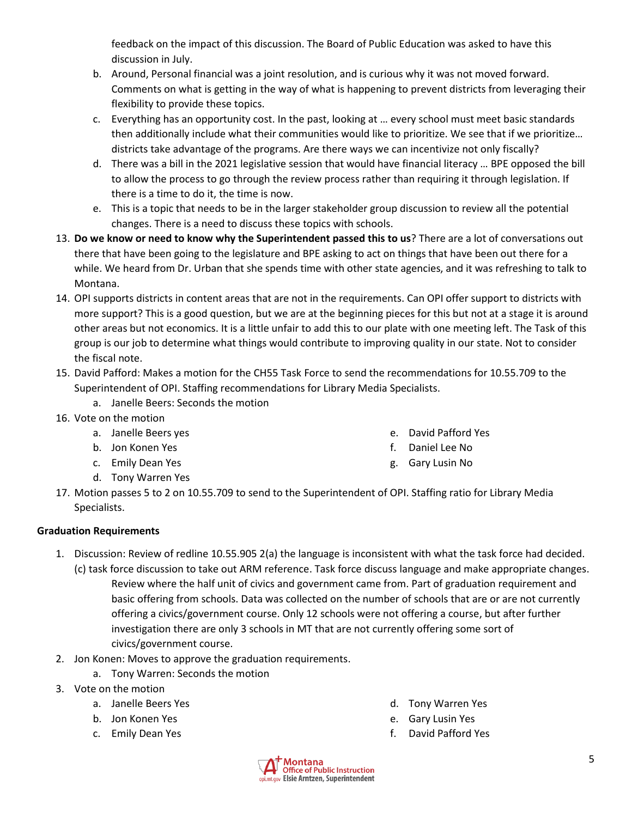feedback on the impact of this discussion. The Board of Public Education was asked to have this discussion in July.

- b. Around, Personal financial was a joint resolution, and is curious why it was not moved forward. Comments on what is getting in the way of what is happening to prevent districts from leveraging their flexibility to provide these topics.
- c. Everything has an opportunity cost. In the past, looking at … every school must meet basic standards then additionally include what their communities would like to prioritize. We see that if we prioritize… districts take advantage of the programs. Are there ways we can incentivize not only fiscally?
- d. There was a bill in the 2021 legislative session that would have financial literacy … BPE opposed the bill to allow the process to go through the review process rather than requiring it through legislation. If there is a time to do it, the time is now.
- e. This is a topic that needs to be in the larger stakeholder group discussion to review all the potential changes. There is a need to discuss these topics with schools.
- 13. **Do we know or need to know why the Superintendent passed this to us**? There are a lot of conversations out there that have been going to the legislature and BPE asking to act on things that have been out there for a while. We heard from Dr. Urban that she spends time with other state agencies, and it was refreshing to talk to Montana.
- 14. OPI supports districts in content areas that are not in the requirements. Can OPI offer support to districts with more support? This is a good question, but we are at the beginning pieces for this but not at a stage it is around other areas but not economics. It is a little unfair to add this to our plate with one meeting left. The Task of this group is our job to determine what things would contribute to improving quality in our state. Not to consider the fiscal note.
- 15. David Pafford: Makes a motion for the CH55 Task Force to send the recommendations for 10.55.709 to the Superintendent of OPI. Staffing recommendations for Library Media Specialists.
	- a. Janelle Beers: Seconds the motion
- 16. Vote on the motion
	- a. Janelle Beers yes
	- b. Jon Konen Yes
	- c. Emily Dean Yes
	- d. Tony Warren Yes
- e. David Pafford Yes
- f. Daniel Lee No
- g. Gary Lusin No
- 17. Motion passes 5 to 2 on 10.55.709 to send to the Superintendent of OPI. Staffing ratio for Library Media Specialists.

# **Graduation Requirements**

- 1. Discussion: Review of redline 10.55.905 2(a) the language is inconsistent with what the task force had decided. (c) task force discussion to take out ARM reference. Task force discuss language and make appropriate changes. Review where the half unit of civics and government came from. Part of graduation requirement and basic offering from schools. Data was collected on the number of schools that are or are not currently offering a civics/government course. Only 12 schools were not offering a course, but after further investigation there are only 3 schools in MT that are not currently offering some sort of civics/government course.
- 2. Jon Konen: Moves to approve the graduation requirements.
	- a. Tony Warren: Seconds the motion
- 3. Vote on the motion
	- a. Janelle Beers Yes
	- b. Jon Konen Yes
	- c. Emily Dean Yes
- d. Tony Warren Yes
- e. Gary Lusin Yes
- f. David Pafford Yes

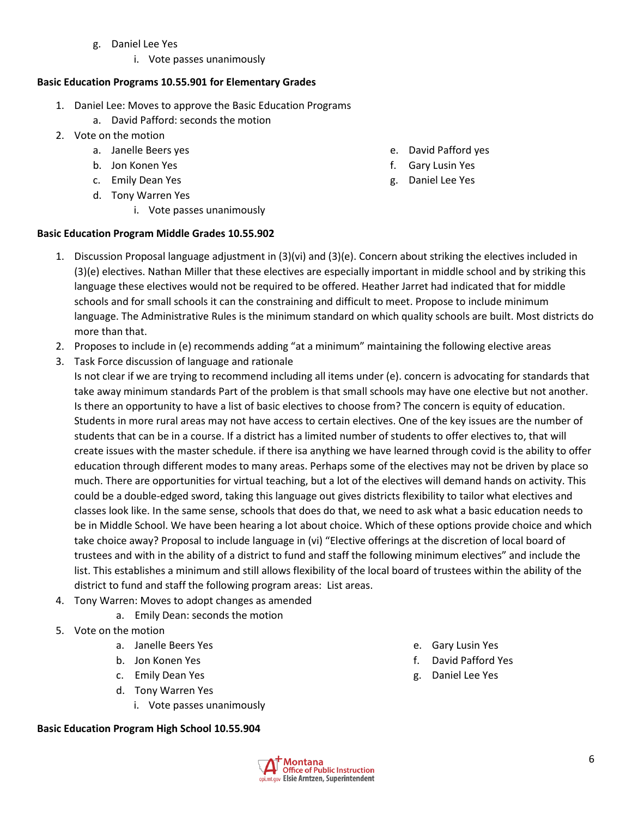- g. Daniel Lee Yes
	- i. Vote passes unanimously

# **Basic Education Programs 10.55.901 for Elementary Grades**

- 1. Daniel Lee: Moves to approve the Basic Education Programs
	- a. David Pafford: seconds the motion
- 2. Vote on the motion
	- a. Janelle Beers yes
	- b. Jon Konen Yes
	- c. Emily Dean Yes
	- d. Tony Warren Yes
		- i. Vote passes unanimously

# **Basic Education Program Middle Grades 10.55.902**

- 1. Discussion Proposal language adjustment in (3)(vi) and (3)(e). Concern about striking the electives included in (3)(e) electives. Nathan Miller that these electives are especially important in middle school and by striking this language these electives would not be required to be offered. Heather Jarret had indicated that for middle schools and for small schools it can the constraining and difficult to meet. Propose to include minimum
	- language. The Administrative Rules is the minimum standard on which quality schools are built. Most districts do more than that.
- 2. Proposes to include in (e) recommends adding "at a minimum" maintaining the following elective areas
- 3. Task Force discussion of language and rationale
	- Is not clear if we are trying to recommend including all items under (e). concern is advocating for standards that take away minimum standards Part of the problem is that small schools may have one elective but not another. Is there an opportunity to have a list of basic electives to choose from? The concern is equity of education. Students in more rural areas may not have access to certain electives. One of the key issues are the number of students that can be in a course. If a district has a limited number of students to offer electives to, that will create issues with the master schedule. if there isa anything we have learned through covid is the ability to offer education through different modes to many areas. Perhaps some of the electives may not be driven by place so much. There are opportunities for virtual teaching, but a lot of the electives will demand hands on activity. This could be a double-edged sword, taking this language out gives districts flexibility to tailor what electives and classes look like. In the same sense, schools that does do that, we need to ask what a basic education needs to be in Middle School. We have been hearing a lot about choice. Which of these options provide choice and which take choice away? Proposal to include language in (vi) "Elective offerings at the discretion of local board of trustees and with in the ability of a district to fund and staff the following minimum electives" and include the list. This establishes a minimum and still allows flexibility of the local board of trustees within the ability of the district to fund and staff the following program areas: List areas.
- 4. Tony Warren: Moves to adopt changes as amended
	- a. Emily Dean: seconds the motion
- 5. Vote on the motion
	- a. Janelle Beers Yes
	- b. Jon Konen Yes
	- c. Emily Dean Yes
	- d. Tony Warren Yes
		- i. Vote passes unanimously

## **Basic Education Program High School 10.55.904**

g. Daniel Lee Yes

e. Gary Lusin Yes f. David Pafford Yes



- e. David Pafford yes
- f. Gary Lusin Yes
- g. Daniel Lee Yes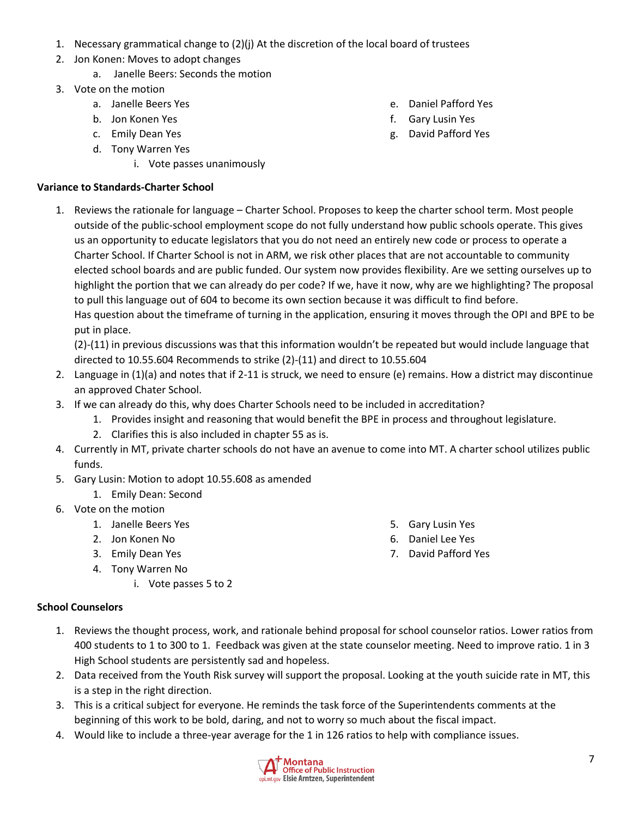- 1. Necessary grammatical change to (2)(j) At the discretion of the local board of trustees
- 2. Jon Konen: Moves to adopt changes
	- a. Janelle Beers: Seconds the motion
- 3. Vote on the motion
	- a. Janelle Beers Yes
	- b. Jon Konen Yes
	- c. Emily Dean Yes
	- d. Tony Warren Yes
		- i. Vote passes unanimously

# **Variance to Standards-Charter School**

1. Reviews the rationale for language – Charter School. Proposes to keep the charter school term. Most people outside of the public-school employment scope do not fully understand how public schools operate. This gives us an opportunity to educate legislators that you do not need an entirely new code or process to operate a Charter School. If Charter School is not in ARM, we risk other places that are not accountable to community elected school boards and are public funded. Our system now provides flexibility. Are we setting ourselves up to highlight the portion that we can already do per code? If we, have it now, why are we highlighting? The proposal to pull this language out of 604 to become its own section because it was difficult to find before. Has question about the timeframe of turning in the application, ensuring it moves through the OPI and BPE to be put in place.

(2)-(11) in previous discussions was that this information wouldn't be repeated but would include language that directed to 10.55.604 Recommends to strike (2)-(11) and direct to 10.55.604

- 2. Language in (1)(a) and notes that if 2-11 is struck, we need to ensure (e) remains. How a district may discontinue an approved Chater School.
- 3. If we can already do this, why does Charter Schools need to be included in accreditation?
	- 1. Provides insight and reasoning that would benefit the BPE in process and throughout legislature.
	- 2. Clarifies this is also included in chapter 55 as is.
- 4. Currently in MT, private charter schools do not have an avenue to come into MT. A charter school utilizes public funds.
- 5. Gary Lusin: Motion to adopt 10.55.608 as amended
	- 1. Emily Dean: Second
- 6. Vote on the motion
	- 1. Janelle Beers Yes
	- 2. Jon Konen No
	- 3. Emily Dean Yes
	- 4. Tony Warren No
		- i. Vote passes 5 to 2

## **School Counselors**

- 1. Reviews the thought process, work, and rationale behind proposal for school counselor ratios. Lower ratios from 400 students to 1 to 300 to 1. Feedback was given at the state counselor meeting. Need to improve ratio. 1 in 3 High School students are persistently sad and hopeless.
- 2. Data received from the Youth Risk survey will support the proposal. Looking at the youth suicide rate in MT, this is a step in the right direction.
- 3. This is a critical subject for everyone. He reminds the task force of the Superintendents comments at the beginning of this work to be bold, daring, and not to worry so much about the fiscal impact.
- 4. Would like to include a three-year average for the 1 in 126 ratios to help with compliance issues.



- e. Daniel Pafford Yes
- f. Gary Lusin Yes
- g. David Pafford Yes

5. Gary Lusin Yes 6. Daniel Lee Yes 7. David Pafford Yes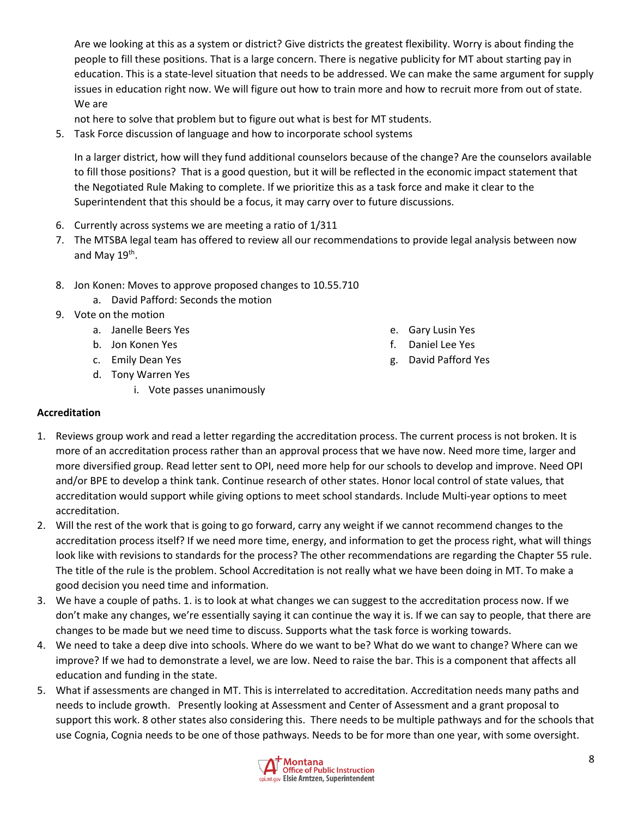Are we looking at this as a system or district? Give districts the greatest flexibility. Worry is about finding the people to fill these positions. That is a large concern. There is negative publicity for MT about starting pay in education. This is a state-level situation that needs to be addressed. We can make the same argument for supply issues in education right now. We will figure out how to train more and how to recruit more from out of state. We are

not here to solve that problem but to figure out what is best for MT students.

5. Task Force discussion of language and how to incorporate school systems

In a larger district, how will they fund additional counselors because of the change? Are the counselors available to fill those positions? That is a good question, but it will be reflected in the economic impact statement that the Negotiated Rule Making to complete. If we prioritize this as a task force and make it clear to the Superintendent that this should be a focus, it may carry over to future discussions.

- 6. Currently across systems we are meeting a ratio of 1/311
- 7. The MTSBA legal team has offered to review all our recommendations to provide legal analysis between now and May 19<sup>th</sup>.
- 8. Jon Konen: Moves to approve proposed changes to 10.55.710
	- a. David Pafford: Seconds the motion
- 9. Vote on the motion
	- a. Janelle Beers Yes
	- b. Jon Konen Yes
	- c. Emily Dean Yes
	- d. Tony Warren Yes
		- i. Vote passes unanimously
- e. Gary Lusin Yes
- f. Daniel Lee Yes
- g. David Pafford Yes

## **Accreditation**

- 1. Reviews group work and read a letter regarding the accreditation process. The current process is not broken. It is more of an accreditation process rather than an approval process that we have now. Need more time, larger and more diversified group. Read letter sent to OPI, need more help for our schools to develop and improve. Need OPI and/or BPE to develop a think tank. Continue research of other states. Honor local control of state values, that accreditation would support while giving options to meet school standards. Include Multi-year options to meet accreditation.
- 2. Will the rest of the work that is going to go forward, carry any weight if we cannot recommend changes to the accreditation process itself? If we need more time, energy, and information to get the process right, what will things look like with revisions to standards for the process? The other recommendations are regarding the Chapter 55 rule. The title of the rule is the problem. School Accreditation is not really what we have been doing in MT. To make a good decision you need time and information.
- 3. We have a couple of paths. 1. is to look at what changes we can suggest to the accreditation process now. If we don't make any changes, we're essentially saying it can continue the way it is. If we can say to people, that there are changes to be made but we need time to discuss. Supports what the task force is working towards.
- 4. We need to take a deep dive into schools. Where do we want to be? What do we want to change? Where can we improve? If we had to demonstrate a level, we are low. Need to raise the bar. This is a component that affects all education and funding in the state.
- 5. What if assessments are changed in MT. This is interrelated to accreditation. Accreditation needs many paths and needs to include growth. Presently looking at Assessment and Center of Assessment and a grant proposal to support this work. 8 other states also considering this. There needs to be multiple pathways and for the schools that use Cognia, Cognia needs to be one of those pathways. Needs to be for more than one year, with some oversight.

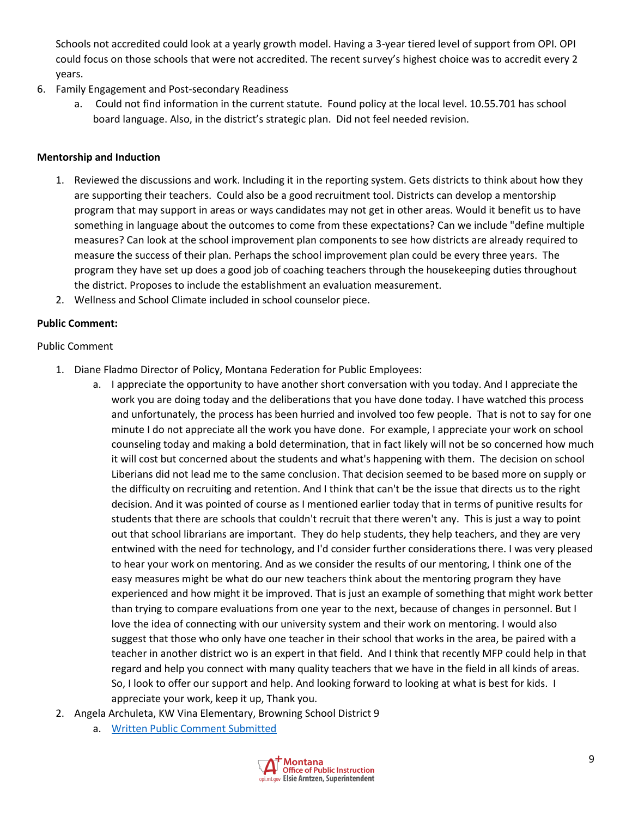Schools not accredited could look at a yearly growth model. Having a 3-year tiered level of support from OPI. OPI could focus on those schools that were not accredited. The recent survey's highest choice was to accredit every 2 years.

- 6. Family Engagement and Post-secondary Readiness
	- a. Could not find information in the current statute. Found policy at the local level. 10.55.701 has school board language. Also, in the district's strategic plan. Did not feel needed revision.

#### **Mentorship and Induction**

- 1. Reviewed the discussions and work. Including it in the reporting system. Gets districts to think about how they are supporting their teachers. Could also be a good recruitment tool. Districts can develop a mentorship program that may support in areas or ways candidates may not get in other areas. Would it benefit us to have something in language about the outcomes to come from these expectations? Can we include "define multiple measures? Can look at the school improvement plan components to see how districts are already required to measure the success of their plan. Perhaps the school improvement plan could be every three years. The program they have set up does a good job of coaching teachers through the housekeeping duties throughout the district. Proposes to include the establishment an evaluation measurement.
- 2. Wellness and School Climate included in school counselor piece.

## **Public Comment:**

## Public Comment

- 1. Diane Fladmo Director of Policy, Montana Federation for Public Employees:
	- a. I appreciate the opportunity to have another short conversation with you today. And I appreciate the work you are doing today and the deliberations that you have done today. I have watched this process and unfortunately, the process has been hurried and involved too few people. That is not to say for one minute I do not appreciate all the work you have done. For example, I appreciate your work on school counseling today and making a bold determination, that in fact likely will not be so concerned how much it will cost but concerned about the students and what's happening with them. The decision on school Liberians did not lead me to the same conclusion. That decision seemed to be based more on supply or the difficulty on recruiting and retention. And I think that can't be the issue that directs us to the right decision. And it was pointed of course as I mentioned earlier today that in terms of punitive results for students that there are schools that couldn't recruit that there weren't any. This is just a way to point out that school librarians are important. They do help students, they help teachers, and they are very entwined with the need for technology, and I'd consider further considerations there. I was very pleased to hear your work on mentoring. And as we consider the results of our mentoring, I think one of the easy measures might be what do our new teachers think about the mentoring program they have experienced and how might it be improved. That is just an example of something that might work better than trying to compare evaluations from one year to the next, because of changes in personnel. But I love the idea of connecting with our university system and their work on mentoring. I would also suggest that those who only have one teacher in their school that works in the area, be paired with a teacher in another district wo is an expert in that field. And I think that recently MFP could help in that regard and help you connect with many quality teachers that we have in the field in all kinds of areas. So, I look to offer our support and help. And looking forward to looking at what is best for kids. I appreciate your work, keep it up, Thank you.
- 2. Angela Archuleta, KW Vina Elementary, Browning School District 9
	- a. [Written Public Comment Submitted](https://drive.google.com/file/d/1gu2nvbA5CrO0GCEhzaqvN6kdOqUyS6iL/view?usp=sharing)